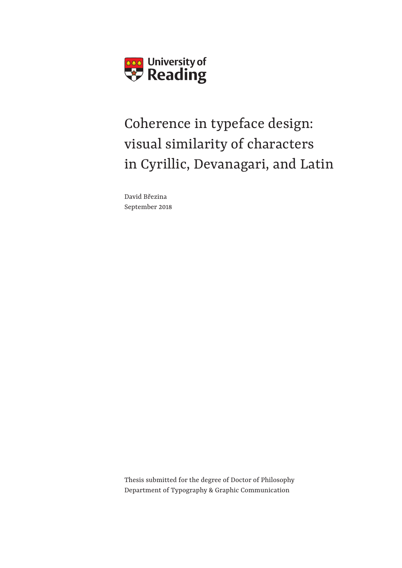

## Coherence in typeface design: visual similarity of characters in Cyrillic, Devanagari, and Latin

David Březina September 2018 *On the state of newspaper design,* 

Thesis submitted for the degree of Doctor of Philosophy Department of Typography & Graphic Communication December 2015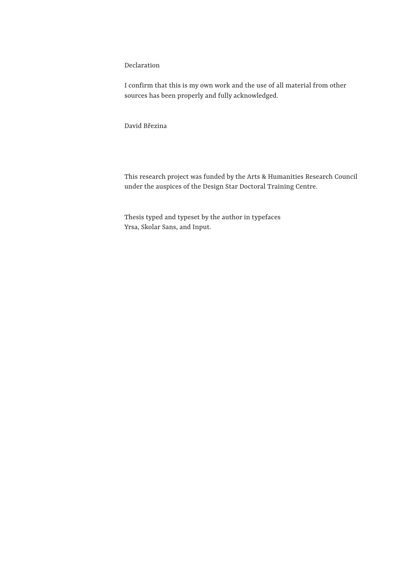Declaration

I confirm that this is my own work and the use of all material from other sources has been properly and fully acknowledged.

David Březina

This research project was funded by the Arts & Humanities Research Council under the auspices of the Design Star Doctoral Training Centre.

Thesis typed and typeset by the author in typefaces Yrsa, Skolar Sans, and Input.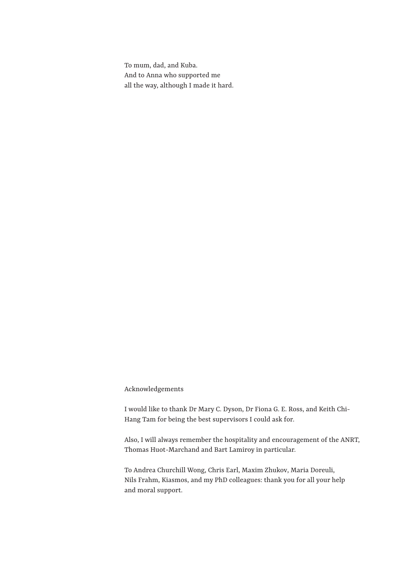To mum, dad, and Kuba. And to Anna who supported me all the way, although I made it hard.

Acknowledgements

I would like to thank Dr Mary C. Dyson, Dr Fiona G. E. Ross, and Keith Chi-Hang Tam for being the best supervisors I could ask for.

Also, I will always remember the hospitality and encouragement of the ANRT, Thomas Huot-Marchand and Bart Lamiroy in particular.

To Andrea Churchill Wong, Chris Earl, Maxim Zhukov, Maria Doreuli, Nils Frahm, Kiasmos, and my PhD colleagues: thank you for all your help and moral support.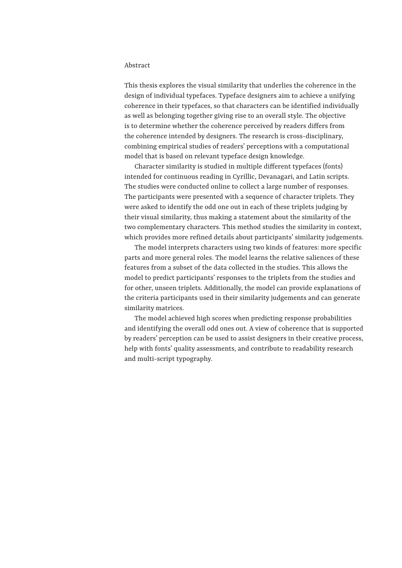#### Abstract

This thesis explores the visual similarity that underlies the coherence in the design of individual typefaces. Typeface designers aim to achieve a unifying coherence in their typefaces, so that characters can be identified individually as well as belonging together giving rise to an overall style. The objective is to determine whether the coherence perceived by readers differs from the coherence intended by designers. The research is cross-disciplinary, combining empirical studies of readers' perceptions with a computational model that is based on relevant typeface design knowledge.

Character similarity is studied in multiple different typefaces (fonts) intended for continuous reading in Cyrillic, Devanagari, and Latin scripts. The studies were conducted online to collect a large number of responses. The participants were presented with a sequence of character triplets. They were asked to identify the odd one out in each of these triplets judging by their visual similarity, thus making a statement about the similarity of the two complementary characters. This method studies the similarity in context, which provides more refined details about participants' similarity judgements.

The model interprets characters using two kinds of features: more specific parts and more general roles. The model learns the relative saliences of these features from a subset of the data collected in the studies. This allows the model to predict participants' responses to the triplets from the studies and for other, unseen triplets. Additionally, the model can provide explanations of the criteria participants used in their similarity judgements and can generate similarity matrices.

The model achieved high scores when predicting response probabilities and identifying the overall odd ones out. A view of coherence that is supported by readers' perception can be used to assist designers in their creative process, help with fonts' quality assessments, and contribute to readability research and multi-script typography.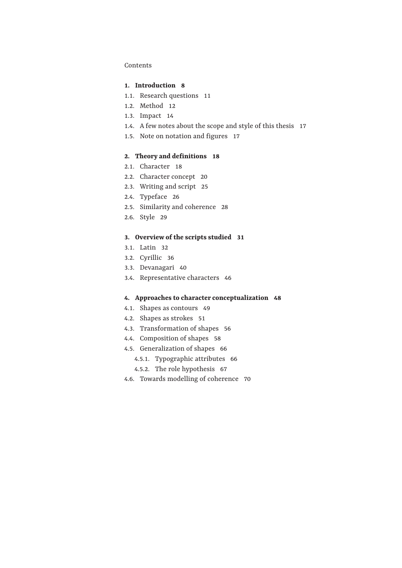#### Contents

#### **1. Introduction 8**

- 1.1. Research questions 11
- 1.2. Method 12
- 1.3. Impact 14
- 1.4. A few notes about the scope and style of this thesis 17
- 1.5. Note on notation and figures 17

#### **2. Theory and definitions 18**

- 2.1. Character 18
- 2.2. Character concept 20
- 2.3. Writing and script 25
- 2.4. Typeface 26
- 2.5. Similarity and coherence 28
- 2.6. Style 29

#### **3. Overview of the scripts studied 31**

- 3.1. Latin 32
- 3.2. Cyrillic 36
- 3.3. Devanagari 40
- 3.4. Representative characters 46

#### **4. Approaches to character conceptualization 48**

- 4.1. Shapes as contours 49
- 4.2. Shapes as strokes 51
- 4.3. Transformation of shapes 56
- 4.4. Composition of shapes 58
- 4.5. Generalization of shapes 66
	- 4.5.1. Typographic attributes 66
	- 4.5.2. The role hypothesis 67
- 4.6. Towards modelling of coherence 70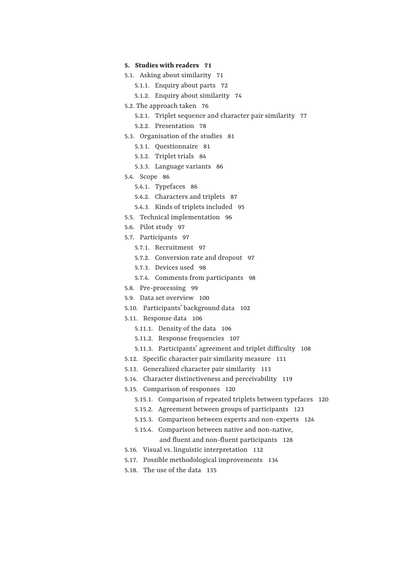#### **5. Studies with readers 71**

- 5.1. Asking about similarity 71
	- 5.1.1. Enquiry about parts 72
	- 5.1.2. Enquiry about similarity 74
- 5.2. The approach taken 76
	- 5.2.1. Triplet sequence and character pair similarity 77
		- 5.2.2. Presentation 78
- 5.3. Organisation of the studies 81
	- 5.3.1. Questionnaire 81
	- 5.3.2. Triplet trials 84
	- 5.3.3. Language variants 86
- 5.4. Scope 86
	- 5.4.1. Typefaces 86
	- 5.4.2. Characters and triplets 87
	- 5.4.3. Kinds of triplets included 95
- 5.5. Technical implementation 96
- 5.6. Pilot study 97
- 5.7. Participants 97
	- 5.7.1. Recruitment 97
	- 5.7.2. Conversion rate and dropout 97
	- 5.7.3. Devices used 98
	- 5.7.4. Comments from participants 98
- 5.8. Pre-processing 99
- 5.9. Data set overview 100
- 5.10. Participants' background data 102
- 5.11. Response data 106
	- 5.11.1. Density of the data 106
		- 5.11.2. Response frequencies 107
		- 5.11.3. Participants' agreement and triplet difficulty 108
- 5.12. Specific character pair similarity measure 111
- 5.13. Generalized character pair similarity 113
- 5.14. Character distinctiveness and perceivability 119
- 5.15. Comparison of responses 120
	- 5.15.1. Comparison of repeated triplets between typefaces 120
	- 5.15.2. Agreement between groups of participants 123
	- 5.15.3. Comparison between experts and non-experts 124
	- 5.15.4. Comparison between native and non-native, and fluent and non-fluent participants 128
- 5.16. Visual vs. linguistic interpretation 132
- 5.17. Possible methodological improvements 134
- 5.18. The use of the data 135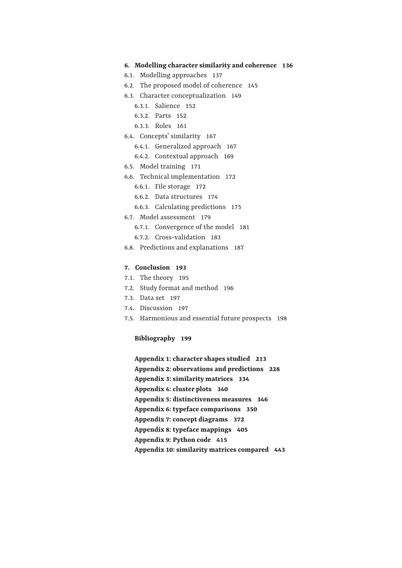#### **6. Modelling character similarity and coherence 136**

- 6.1. Modelling approaches 137
- 6.2. The proposed model of coherence 145
- 6.3. Character conceptualization 149
	- 6.3.1. Salience 152
	- 6.3.2. Parts 152
	- 6.3.3. Roles 161
- 6.4. Concepts' similarity 167
	- 6.4.1. Generalized approach 167
	- 6.4.2. Contextual approach 169
- 6.5. Model training 171
- 6.6. Technical implementation 172
	- 6.6.1. File storage 172
	- 6.6.2. Data structures 174
	- 6.6.3. Calculating predictions 175
- 6.7. Model assessment 179
	- 6.7.1. Convergence of the model 181
	- 6.7.2. Cross-validation 183
- 6.8. Predictions and explanations 187

#### **7. Conclusion 193**

- 7.1. The theory 195
- 7.2. Study format and method 196
- 7.3. Data set 197
- 7.4. Discussion 197
- 7.5. Harmonious and essential future prospects 198

#### **Bibliography 199**

**Appendix 1: character shapes studied 213 Appendix 2: observations and predictions 228 Appendix 3: similarity matrices 334 Appendix 4: cluster plots 340 Appendix 5: distinctiveness measures 346 Appendix 6: typeface comparisons 350 Appendix 7: concept diagrams 372 Appendix 8: typeface mappings 405 Appendix 9: Python code 415 Appendix 10: similarity matrices compared 443**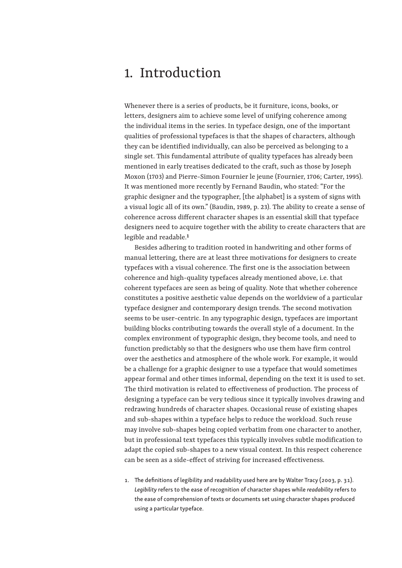### 1. Introduction

Whenever there is a series of products, be it furniture, icons, books, or letters, designers aim to achieve some level of unifying coherence among the individual items in the series. In typeface design, one of the important qualities of professional typefaces is that the shapes of characters, although they can be identified individually, can also be perceived as belonging to a single set. This fundamental attribute of quality typefaces has already been mentioned in early treatises dedicated to the craft, such as those by Joseph Moxon (1703) and Pierre-Simon Fournier le jeune (Fournier, 1706; Carter, 1995). It was mentioned more recently by Fernand Baudin, who stated: "For the graphic designer and the typographer, [the alphabet] is a system of signs with a visual logic all of its own." (Baudin, 1989, p. 23). The ability to create a sense of coherence across different character shapes is an essential skill that typeface designers need to acquire together with the ability to create characters that are legible and readable.**1**

Besides adhering to tradition rooted in handwriting and other forms of manual lettering, there are at least three motivations for designers to create typefaces with a visual coherence. The first one is the association between coherence and high-quality typefaces already mentioned above, i.e. that coherent typefaces are seen as being of quality. Note that whether coherence constitutes a positive aesthetic value depends on the worldview of a particular typeface designer and contemporary design trends. The second motivation seems to be user-centric. In any typographic design, typefaces are important building blocks contributing towards the overall style of a document. In the complex environment of typographic design, they become tools, and need to function predictably so that the designers who use them have firm control over the aesthetics and atmosphere of the whole work. For example, it would be a challenge for a graphic designer to use a typeface that would sometimes appear formal and other times informal, depending on the text it is used to set. The third motivation is related to effectiveness of production. The process of designing a typeface can be very tedious since it typically involves drawing and redrawing hundreds of character shapes. Occasional reuse of existing shapes and sub-shapes within a typeface helps to reduce the workload. Such reuse may involve sub-shapes being copied verbatim from one character to another, but in professional text typefaces this typically involves subtle modification to adapt the copied sub-shapes to a new visual context. In this respect coherence can be seen as a side-effect of striving for increased effectiveness.

1. The definitions of legibility and readability used here are by Walter Tracy (2003, p. 31). *Legibility* refers to the ease of recognition of character shapes while *readability* refers to the ease of comprehension of texts or documents set using character shapes produced using a particular typeface.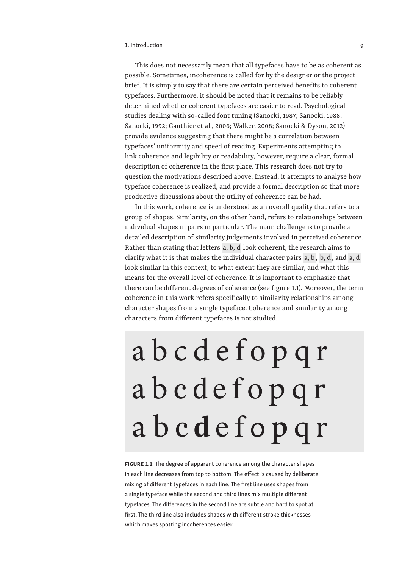#### 1. Introduction 9

This does not necessarily mean that all typefaces have to be as coherent as possible. Sometimes, incoherence is called for by the designer or the project brief. It is simply to say that there are certain perceived benefits to coherent typefaces. Furthermore, it should be noted that it remains to be reliably determined whether coherent typefaces are easier to read. Psychological studies dealing with so-called font tuning (Sanocki, 1987; Sanocki, 1988; Sanocki, 1992; Gauthier et al., 2006; Walker, 2008; Sanocki & Dyson, 2012) provide evidence suggesting that there might be a correlation between typefaces' uniformity and speed of reading. Experiments attempting to link coherence and legibility or readability, however, require a clear, formal description of coherence in the first place. This research does not try to question the motivations described above. Instead, it attempts to analyse how typeface coherence is realized, and provide a formal description so that more productive discussions about the utility of coherence can be had.

In this work, coherence is understood as an overall quality that refers to a group of shapes. Similarity, on the other hand, refers to relationships between individual shapes in pairs in particular. The main challenge is to provide a detailed description of similarity judgements involved in perceived coherence. Rather than stating that letters  a, b, d  look coherent, the research aims to clarify what it is that makes the individual character pairs  a, b ,  b, d , and  a, d  look similar in this context, to what extent they are similar, and what this means for the overall level of coherence. It is important to emphasize that there can be different degrees of coherence (see figure 1.1). Moreover, the term coherence in this work refers specifically to similarity relationships among character shapes from a single typeface. Coherence and similarity among characters from different typefaces is not studied.

# abcdefopqr a b c d e f o p q r a b c **d** e f o **p** q r

FIGURE 1.1: The degree of apparent coherence among the character shapes in each line decreases from top to bottom. The effect is caused by deliberate mixing of different typefaces in each line. The first line uses shapes from a single typeface while the second and third lines mix multiple different typefaces. The differences in the second line are subtle and hard to spot at first. The third line also includes shapes with different stroke thicknesses which makes spotting incoherences easier.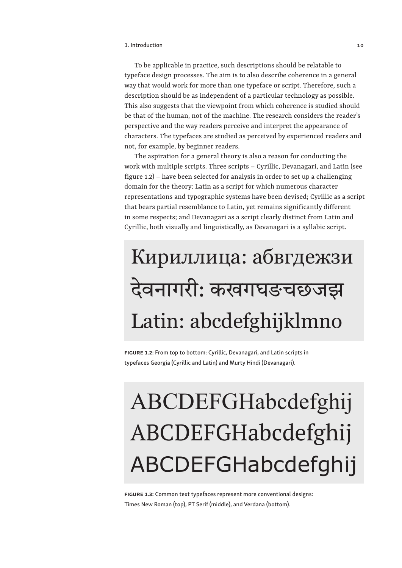To be applicable in practice, such descriptions should be relatable to typeface design processes. The aim is to also describe coherence in a general way that would work for more than one typeface or script. Therefore, such a description should be as independent of a particular technology as possible. This also suggests that the viewpoint from which coherence is studied should be that of the human, not of the machine. The research considers the reader's perspective and the way readers perceive and interpret the appearance of characters. The typefaces are studied as perceived by experienced readers and not, for example, by beginner readers.

The aspiration for a general theory is also a reason for conducting the work with multiple scripts. Three scripts – Cyrillic, Devanagari, and Latin (see figure 1.2) – have been selected for analysis in order to set up a challenging domain for the theory: Latin as a script for which numerous character representations and typographic systems have been devised; Cyrillic as a script that bears partial resemblance to Latin, yet remains significantly different in some respects; and Devanagari as a script clearly distinct from Latin and Cyrillic, both visually and linguistically, as Devanagari is a syllabic script.

## Кириллица: абвгдежзи देवनागरी: कखगघङचछजझ Latin: abcdefghijklmno

FIGURE 1.2: From top to bottom: Cyrillic, Devanagari, and Latin scripts in typefaces Georgia (Cyrillic and Latin) and Murty Hindi (Devanagari).

## ABCDEFGHabcdefghij ABCDEFGHabcdefghij ABCDEFGHabcdefghij

FIGURE 1.3: Common text typefaces represent more conventional designs: Times New Roman (top), PT Serif (middle), and Verdana (bottom).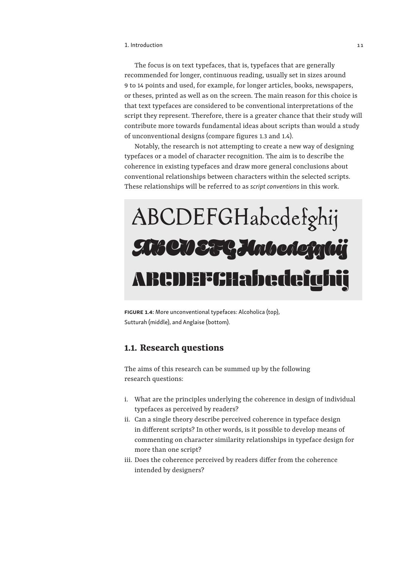The focus is on text typefaces, that is, typefaces that are generally recommended for longer, continuous reading, usually set in sizes around 9 to 14 points and used, for example, for longer articles, books, newspapers, or theses, printed as well as on the screen. The main reason for this choice is that text typefaces are considered to be conventional interpretations of the script they represent. Therefore, there is a greater chance that their study will contribute more towards fundamental ideas about scripts than would a study of unconventional designs (compare figures 1.3 and 1.4).

Notably, the research is not attempting to create a new way of designing typefaces or a model of character recognition. The aim is to describe the coherence in existing typefaces and draw more general conclusions about conventional relationships between characters within the selected scripts. These relationships will be referred to as *script conventions* in this work.

## ABCDEFGHabcdefghij ABCDEFGHabcdefahij ABCDEFGHabcdefghij

FIGURE 1.4: More unconventional typefaces: Alcoholica (top), Sutturah (middle), and Anglaise (bottom).

#### **1.1. Research questions**

The aims of this research can be summed up by the following research questions:

- i. What are the principles underlying the coherence in design of individual typefaces as perceived by readers?
- ii. Can a single theory describe perceived coherence in typeface design in different scripts? In other words, is it possible to develop means of commenting on character similarity relationships in typeface design for more than one script?
- iii. Does the coherence perceived by readers differ from the coherence intended by designers?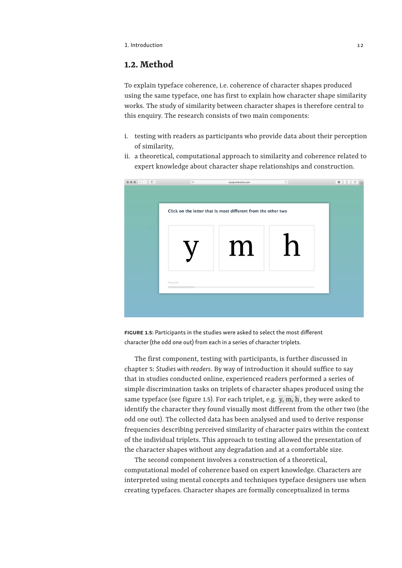#### **1.2. Method**

To explain typeface coherence, i.e. coherence of character shapes produced using the same typeface, one has first to explain how character shape similarity works. The study of similarity between character shapes is therefore central to this enquiry. The research consists of two main components:

- i. testing with readers as participants who provide data about their perception of similarity,
- ii. a theoretical, computational approach to similarity and coherence related to expert knowledge about character shape relationships and construction.



FIGURE 1.5: Participants in the studies were asked to select the most different character (the odd one out) from each in a series of character triplets.

The first component, testing with participants, is further discussed in chapter 5: *Studies with readers*. By way of introduction it should suffice to say that in studies conducted online, experienced readers performed a series of simple discrimination tasks on triplets of character shapes produced using the same typeface (see figure 1.5). For each triplet, e.g.  y, m, h , they were asked to identify the character they found visually most different from the other two (the odd one out). The collected data has been analysed and used to derive response frequencies describing perceived similarity of character pairs within the context of the individual triplets. This approach to testing allowed the presentation of the character shapes without any degradation and at a comfortable size.

The second component involves a construction of a theoretical, computational model of coherence based on expert knowledge. Characters are interpreted using mental concepts and techniques typeface designers use when creating typefaces. Character shapes are formally conceptualized in terms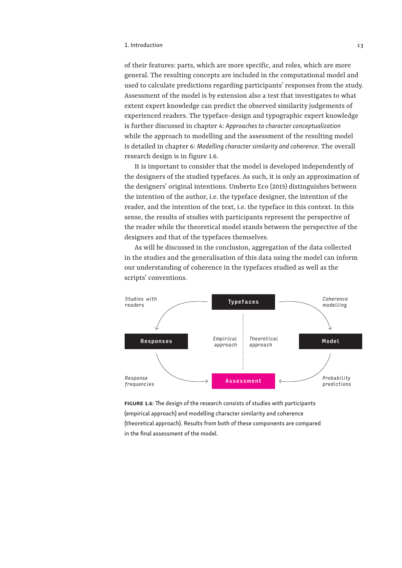#### 1. Introduction 13

of their features: parts, which are more specific, and roles, which are more general. The resulting concepts are included in the computational model and used to calculate predictions regarding participants' responses from the study. Assessment of the model is by extension also a test that investigates to what extent expert knowledge can predict the observed similarity judgements of experienced readers. The typeface-design and typographic expert knowledge is further discussed in chapter 4: *Approaches to character conceptualization* while the approach to modelling and the assessment of the resulting model is detailed in chapter 6: *Modelling character similarity and coherence*. The overall research design is in figure 1.6.

It is important to consider that the model is developed independently of the designers of the studied typefaces. As such, it is only an approximation of the designers' original intentions. Umberto Eco (2015) distinguishes between the intention of the author, i.e. the typeface designer, the intention of the reader, and the intention of the text, i.e. the typeface in this context. In this sense, the results of studies with participants represent the perspective of the reader while the theoretical model stands between the perspective of the designers and that of the typefaces themselves.

As will be discussed in the conclusion, aggregation of the data collected in the studies and the generalisation of this data using the model can inform our understanding of coherence in the typefaces studied as well as the scripts' conventions.



FIGURE 1.6: The design of the research consists of studies with participants (empirical approach) and modelling character similarity and coherence (theoretical approach). Results from both of these components are compared in the final assessment of the model.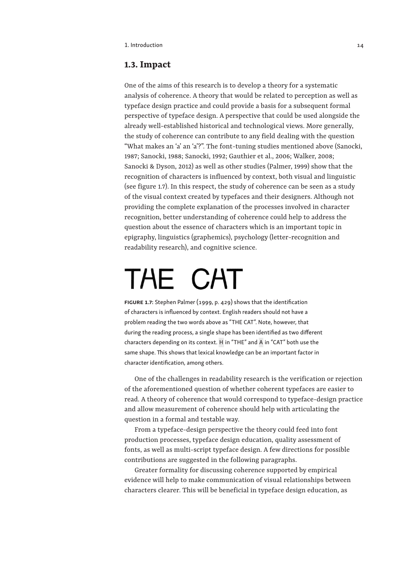#### **1.3. Impact**

One of the aims of this research is to develop a theory for a systematic analysis of coherence. A theory that would be related to perception as well as typeface design practice and could provide a basis for a subsequent formal perspective of typeface design. A perspective that could be used alongside the already well-established historical and technological views. More generally, the study of coherence can contribute to any field dealing with the question "What makes an 'a' an 'a'?". The font-tuning studies mentioned above (Sanocki, 1987; Sanocki, 1988; Sanocki, 1992; Gauthier et al., 2006; Walker, 2008; Sanocki & Dyson, 2012) as well as other studies (Palmer, 1999) show that the recognition of characters is influenced by context, both visual and linguistic (see figure 1.7). In this respect, the study of coherence can be seen as a study of the visual context created by typefaces and their designers. Although not providing the complete explanation of the processes involved in character recognition, better understanding of coherence could help to address the question about the essence of characters which is an important topic in epigraphy, linguistics (graphemics), psychology (letter-recognition and readability research), and cognitive science.

# THE CAT

FIGURE 1.7: Stephen Palmer (1999, p. 429) shows that the identification of characters is influenced by context. English readers should not have a problem reading the two words above as "THE CAT". Note, however, that during the reading process, a single shape has been identified as two different characters depending on its context.  H  in "THE" and  A  in "CAT" both use the same shape. This shows that lexical knowledge can be an important factor in character identification, among others.

One of the challenges in readability research is the verification or rejection of the aforementioned question of whether coherent typefaces are easier to read. A theory of coherence that would correspond to typeface-design practice and allow measurement of coherence should help with articulating the question in a formal and testable way.

From a typeface-design perspective the theory could feed into font production processes, typeface design education, quality assessment of fonts, as well as multi-script typeface design. A few directions for possible contributions are suggested in the following paragraphs.

Greater formality for discussing coherence supported by empirical evidence will help to make communication of visual relationships between characters clearer. This will be beneficial in typeface design education, as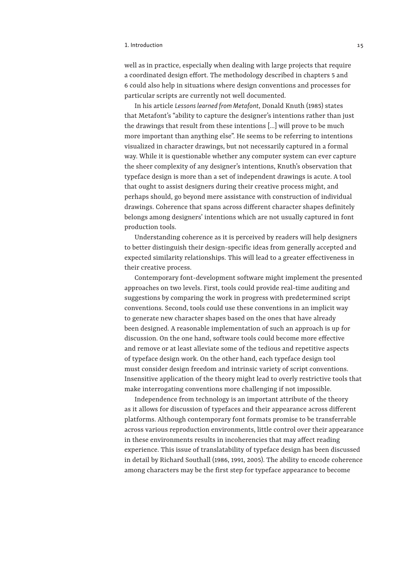#### 1. Introduction 15

well as in practice, especially when dealing with large projects that require a coordinated design effort. The methodology described in chapters 5 and 6 could also help in situations where design conventions and processes for particular scripts are currently not well documented.

In his article *Lessons learned from Metafont*, Donald Knuth (1985) states that Metafont's "ability to capture the designer's intentions rather than just the drawings that result from these intentions […] will prove to be much more important than anything else". He seems to be referring to intentions visualized in character drawings, but not necessarily captured in a formal way. While it is questionable whether any computer system can ever capture the sheer complexity of any designer's intentions, Knuth's observation that typeface design is more than a set of independent drawings is acute. A tool that ought to assist designers during their creative process might, and perhaps should, go beyond mere assistance with construction of individual drawings. Coherence that spans across different character shapes definitely belongs among designers' intentions which are not usually captured in font production tools.

Understanding coherence as it is perceived by readers will help designers to better distinguish their design-specific ideas from generally accepted and expected similarity relationships. This will lead to a greater effectiveness in their creative process.

Contemporary font-development software might implement the presented approaches on two levels. First, tools could provide real-time auditing and suggestions by comparing the work in progress with predetermined script conventions. Second, tools could use these conventions in an implicit way to generate new character shapes based on the ones that have already been designed. A reasonable implementation of such an approach is up for discussion. On the one hand, software tools could become more effective and remove or at least alleviate some of the tedious and repetitive aspects of typeface design work. On the other hand, each typeface design tool must consider design freedom and intrinsic variety of script conventions. Insensitive application of the theory might lead to overly restrictive tools that make interrogating conventions more challenging if not impossible.

Independence from technology is an important attribute of the theory as it allows for discussion of typefaces and their appearance across different platforms. Although contemporary font formats promise to be transferrable across various reproduction environments, little control over their appearance in these environments results in incoherencies that may affect reading experience. This issue of translatability of typeface design has been discussed in detail by Richard Southall (1986, 1991, 2005). The ability to encode coherence among characters may be the first step for typeface appearance to become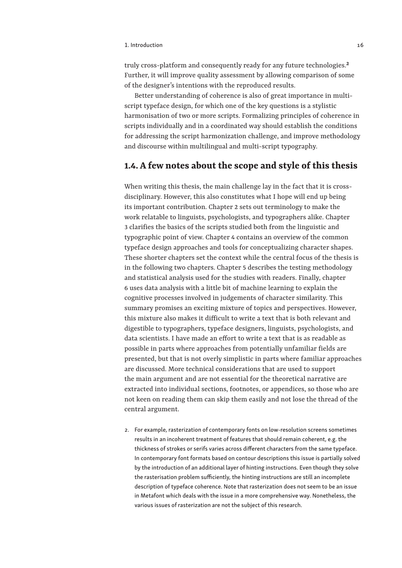#### 1. Introduction 16 and 200 million 16 and 200 million 16 and 200 million 16 and 200 million 16 and 200 million

truly cross-platform and consequently ready for any future technologies.**2** Further, it will improve quality assessment by allowing comparison of some of the designer's intentions with the reproduced results.

Better understanding of coherence is also of great importance in multiscript typeface design, for which one of the key questions is a stylistic harmonisation of two or more scripts. Formalizing principles of coherence in scripts individually and in a coordinated way should establish the conditions for addressing the script harmonization challenge, and improve methodology and discourse within multilingual and multi-script typography.

#### **1.4. A few notes about the scope and style of this thesis**

When writing this thesis, the main challenge lay in the fact that it is crossdisciplinary. However, this also constitutes what I hope will end up being its important contribution. Chapter 2 sets out terminology to make the work relatable to linguists, psychologists, and typographers alike. Chapter 3 clarifies the basics of the scripts studied both from the linguistic and typographic point of view. Chapter 4 contains an overview of the common typeface design approaches and tools for conceptualizing character shapes. These shorter chapters set the context while the central focus of the thesis is in the following two chapters. Chapter 5 describes the testing methodology and statistical analysis used for the studies with readers. Finally, chapter 6 uses data analysis with a little bit of machine learning to explain the cognitive processes involved in judgements of character similarity. This summary promises an exciting mixture of topics and perspectives. However, this mixture also makes it difficult to write a text that is both relevant and digestible to typographers, typeface designers, linguists, psychologists, and data scientists. I have made an effort to write a text that is as readable as possible in parts where approaches from potentially unfamiliar fields are presented, but that is not overly simplistic in parts where familiar approaches are discussed. More technical considerations that are used to support the main argument and are not essential for the theoretical narrative are extracted into individual sections, footnotes, or appendices, so those who are not keen on reading them can skip them easily and not lose the thread of the central argument.

2. For example, rasterization of contemporary fonts on low-resolution screens sometimes results in an incoherent treatment of features that should remain coherent, e.g. the thickness of strokes or serifs varies across different characters from the same typeface. In contemporary font formats based on contour descriptions this issue is partially solved by the introduction of an additional layer of hinting instructions. Even though they solve the rasterisation problem sufficiently, the hinting instructions are still an incomplete description of typeface coherence. Note that rasterization does not seem to be an issue in Metafont which deals with the issue in a more comprehensive way. Nonetheless, the various issues of rasterization are not the subject of this research.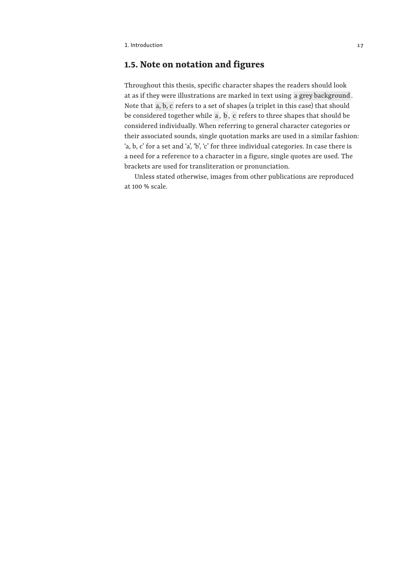#### **1.5. Note on notation and figures**

Throughout this thesis, specific character shapes the readers should look at as if they were illustrations are marked in text using  a grey background . Note that  a, b, c  refers to a set of shapes (a triplet in this case) that should be considered together while **a**, **b**, **c** refers to three shapes that should be considered individually. When referring to general character categories or their associated sounds, single quotation marks are used in a similar fashion: 'a, b, c' for a set and 'a', 'b', 'c' for three individual categories. In case there is a need for a reference to a character in a figure, single quotes are used. The brackets are used for transliteration or pronunciation.

Unless stated otherwise, images from other publications are reproduced at 100 % scale.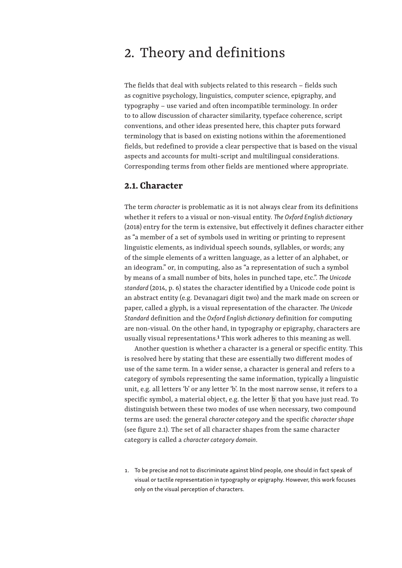## 2. Theory and definitions

The fields that deal with subjects related to this research – fields such as cognitive psychology, linguistics, computer science, epigraphy, and typography – use varied and often incompatible terminology. In order to to allow discussion of character similarity, typeface coherence, script conventions, and other ideas presented here, this chapter puts forward terminology that is based on existing notions within the aforementioned fields, but redefined to provide a clear perspective that is based on the visual aspects and accounts for multi-script and multilingual considerations. Corresponding terms from other fields are mentioned where appropriate.

#### **2.1. Character**

The term *character* is problematic as it is not always clear from its definitions whether it refers to a visual or non-visual entity. *The Oxford English dictionary* (2018) entry for the term is extensive, but effectively it defines character either as "a member of a set of symbols used in writing or printing to represent linguistic elements, as individual speech sounds, syllables, or words; any of the simple elements of a written language, as a letter of an alphabet, or an ideogram." or, in computing, also as "a representation of such a symbol by means of a small number of bits, holes in punched tape, etc.". *The Unicode*  standard (2014, p. 6) states the character identified by a Unicode code point is an abstract entity (e.g. Devanagari digit two) and the mark made on screen or paper, called a glyph, is a visual representation of the character. *The Unicode Standard* definition and the *Oxford English dictionary* definition for computing are non-visual. On the other hand, in typography or epigraphy, characters are usually visual representations.**1** This work adheres to this meaning as well.

Another question is whether a character is a general or specific entity. This is resolved here by stating that these are essentially two different modes of use of the same term. In a wider sense, a character is general and refers to a category of symbols representing the same information, typically a linguistic unit, e.g. all letters 'b' or any letter 'b'. In the most narrow sense, it refers to a specific symbol, a material object, e.g. the letter  b  that you have just read. To distinguish between these two modes of use when necessary, two compound terms are used: the general *character category* and the specific *character shape* (see figure 2.1). The set of all character shapes from the same character category is called a *character category domain*.

1. To be precise and not to discriminate against blind people, one should in fact speak of visual or tactile representation in typography or epigraphy. However, this work focuses only on the visual perception of characters.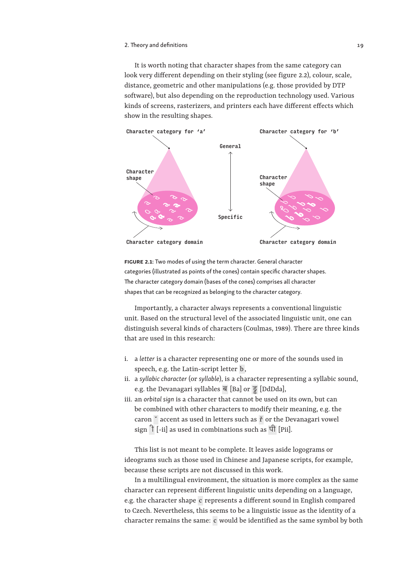It is worth noting that character shapes from the same category can look very different depending on their styling (see figure 2.2), colour, scale, distance, geometric and other manipulations (e.g. those provided by DTP software), but also depending on the reproduction technology used. Various kinds of screens, rasterizers, and printers each have different effects which show in the resulting shapes.



FIGURE 2.1: Two modes of using the term character. General character categories (illustrated as points of the cones) contain specific character shapes. The character category domain (bases of the cones) comprises all character shapes that can be recognized as belonging to the character category.

Importantly, a character always represents a conventional linguistic unit. Based on the structural level of the associated linguistic unit, one can distinguish several kinds of characters (Coulmas, 1989). There are three kinds that are used in this research:

- i. a *letter* is a character representing one or more of the sounds used in speech, e.g. the Latin-script letter  b ,
- ii. a *syllabic character* (or *syllable*), is a character representing a syllabic sound, e.g. the Devanagari syllables ब [Ba] or  ड्ड  [DdDda],
- iii. an *orbital sign* is a character that cannot be used on its own, but can be combined with other characters to modify their meaning, e.g. the caron  ˇ  accent as used in letters such as  ř  or the Devanagari vowel sign  $\hat{d}$  [-ii] as used in combinations such as  $\hat{d}$  [Pii].

This list is not meant to be complete. It leaves aside logograms or ideograms such as those used in Chinese and Japanese scripts, for example, because these scripts are not discussed in this work.

In a multilingual environment, the situation is more complex as the same character can represent different linguistic units depending on a language, e.g. the character shape  c  represents a different sound in English compared to Czech. Nevertheless, this seems to be a linguistic issue as the identity of a character remains the same:  c  would be identified as the same symbol by both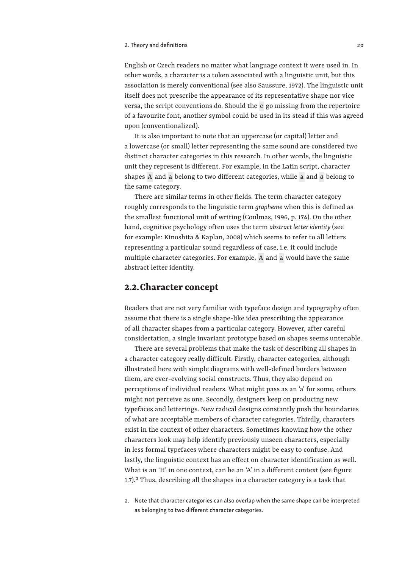#### 2. Theory and definitions and the control of the control of the control of the control of the control of the control of the control of the control of the control of the control of the control of the control of the control

English or Czech readers no matter what language context it were used in. In other words, a character is a token associated with a linguistic unit, but this association is merely conventional (see also Saussure, 1972). The linguistic unit itself does not prescribe the appearance of its representative shape nor vice versa, the script conventions do. Should the  c  go missing from the repertoire of a favourite font, another symbol could be used in its stead if this was agreed upon (conventionalized).

It is also important to note that an uppercase (or capital) letter and a lowercase (or small) letter representing the same sound are considered two distinct character categories in this research. In other words, the linguistic unit they represent is different. For example, in the Latin script, character shapes  A  and  a  belong to two different categories, while  a  and *a* belong to the same category.

There are similar terms in other fields. The term character category roughly corresponds to the linguistic term *grapheme* when this is defined as the smallest functional unit of writing (Coulmas, 1996, p. 174). On the other hand, cognitive psychology often uses the term *abstract letter identity* (see for example: Kinoshita & Kaplan, 2008) which seems to refer to all letters representing a particular sound regardless of case, i.e. it could include multiple character categories. For example,  A  and  a  would have the same abstract letter identity.

#### **2.2.Character concept**

Readers that are not very familiar with typeface design and typography often assume that there is a single shape-like idea prescribing the appearance of all character shapes from a particular category. However, after careful considertation, a single invariant prototype based on shapes seems untenable.

There are several problems that make the task of describing all shapes in a character category really difficult. Firstly, character categories, although illustrated here with simple diagrams with well-defined borders between them, are ever-evolving social constructs. Thus, they also depend on perceptions of individual readers. What might pass as an 'a' for some, others might not perceive as one. Secondly, designers keep on producing new typefaces and letterings. New radical designs constantly push the boundaries of what are acceptable members of character categories. Thirdly, characters exist in the context of other characters. Sometimes knowing how the other characters look may help identify previously unseen characters, especially in less formal typefaces where characters might be easy to confuse. And lastly, the linguistic context has an effect on character identification as well. What is an 'H' in one context, can be an 'A' in a different context (see figure 1.7).**2** Thus, describing all the shapes in a character category is a task that

2. Note that character categories can also overlap when the same shape can be interpreted as belonging to two different character categories.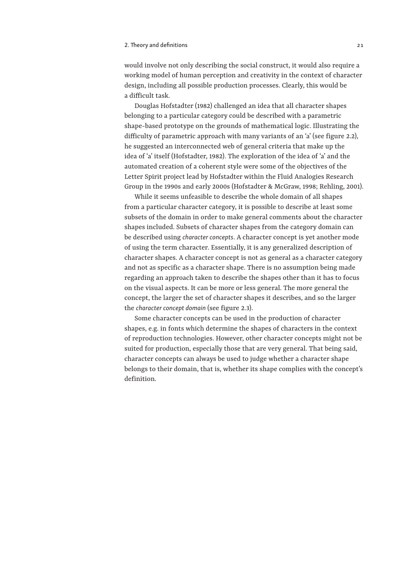#### 2. Theory and definitions and  $\overline{a}$  21

would involve not only describing the social construct, it would also require a working model of human perception and creativity in the context of character design, including all possible production processes. Clearly, this would be a difficult task.

Douglas Hofstadter (1982) challenged an idea that all character shapes belonging to a particular category could be described with a parametric shape-based prototype on the grounds of mathematical logic. Illustrating the difficulty of parametric approach with many variants of an 'a' (see figure 2.2), he suggested an interconnected web of general criteria that make up the idea of 'a' itself (Hofstadter, 1982). The exploration of the idea of 'a' and the automated creation of a coherent style were some of the objectives of the Letter Spirit project lead by Hofstadter within the Fluid Analogies Research Group in the 1990s and early 2000s (Hofstadter & McGraw, 1998; Rehling, 2001).

While it seems unfeasible to describe the whole domain of all shapes from a particular character category, it is possible to describe at least some subsets of the domain in order to make general comments about the character shapes included. Subsets of character shapes from the category domain can be described using *character concepts*. A character concept is yet another mode of using the term character. Essentially, it is any generalized description of character shapes. A character concept is not as general as a character category and not as specific as a character shape. There is no assumption being made regarding an approach taken to describe the shapes other than it has to focus on the visual aspects. It can be more or less general. The more general the concept, the larger the set of character shapes it describes, and so the larger the *character concept domain* (see figure 2.3).

Some character concepts can be used in the production of character shapes, e.g. in fonts which determine the shapes of characters in the context of reproduction technologies. However, other character concepts might not be suited for production, especially those that are very general. That being said, character concepts can always be used to judge whether a character shape belongs to their domain, that is, whether its shape complies with the concept's definition.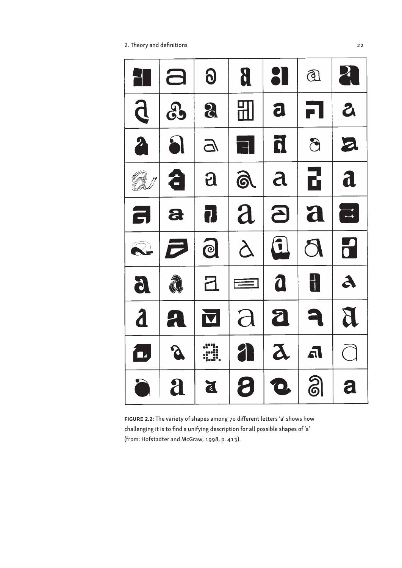2. Theory and definitions 22



FIGURE 2.2: The variety of shapes among 70 different letters 'a' shows how challenging it is to find a unifying description for all possible shapes of 'a' (from: Hofstadter and McGraw, 1998, p. 413).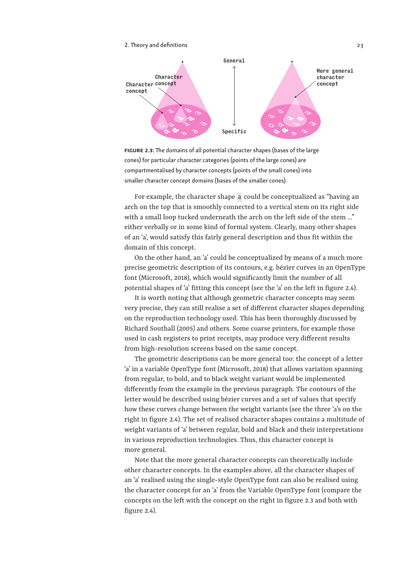

FIGURE 2.3: The domains of all potential character shapes (bases of the large cones) for particular character categories (points of the large cones) are compartmentalised by character concepts (points of the small cones) into smaller character concept domains (bases of the smaller cones).

For example, the character shape  a  could be conceptualized as "having an arch on the top that is smoothly connected to a vertical stem on its right side with a small loop tucked underneath the arch on the left side of the stem ..." either verbally or in some kind of formal system. Clearly, many other shapes of an 'a', would satisfy this fairly general description and thus fit within the domain of this concept.

On the other hand, an 'a' could be conceptualized by means of a much more precise geometric description of its contours, e.g. bézier curves in an OpenType font (Microsoft, 2018), which would significantly limit the number of all potential shapes of 'a' fitting this concept (see the 'a' on the left in figure 2.4).

It is worth noting that although geometric character concepts may seem very precise, they can still realise a set of different character shapes depending on the reproduction technology used. This has been thoroughly discussed by Richard Southall (2005) and others. Some coarse printers, for example those used in cash registers to print receipts, may produce very different results from high-resolution screens based on the same concept.

The geometric descriptions can be more general too: the concept of a letter 'a' in a variable OpenType font (Microsoft, 2018) that allows variation spanning from regular, to bold, and to black weight variant would be implemented differently from the example in the previous paragraph. The contours of the letter would be described using bézier curves and a set of values that specify how these curves change between the weight variants (see the three 'a's on the right in figure 2.4). The set of realised character shapes contains a multitude of weight variants of 'a' between regular, bold and black and their interpretations in various reproduction technologies. Thus, this character concept is more general.

Note that the more general character concepts can theoretically include other character concepts. In the examples above, all the character shapes of an 'a' realised using the single-style OpenType font can also be realised using the character concept for an 'a' from the Variable OpenType font (compare the concepts on the left with the concept on the right in figure 2.3 and both with figure 2.4).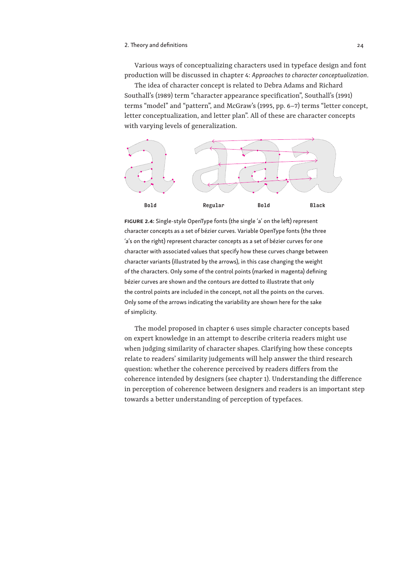Various ways of conceptualizing characters used in typeface design and font production will be discussed in chapter 4: *Approaches to character conceptualization*.

The idea of character concept is related to Debra Adams and Richard Southall's (1989) term "character appearance specification", Southall's (1991) terms "model" and "pattern", and McGraw's (1995, pp. 6–7) terms "letter concept, letter conceptualization, and letter plan". All of these are character concepts with varying levels of generalization.



FIGURE 2.4: Single-style OpenType fonts (the single 'a' on the left) represent character concepts as a set of bézier curves. Variable OpenType fonts (the three 'a's on the right) represent character concepts as a set of bézier curves for one character with associated values that specify how these curves change between character variants (illustrated by the arrows), in this case changing the weight of the characters. Only some of the control points (marked in magenta) defining bézier curves are shown and the contours are dotted to illustrate that only the control points are included in the concept, not all the points on the curves. Only some of the arrows indicating the variability are shown here for the sake of simplicity.

The model proposed in chapter 6 uses simple character concepts based on expert knowledge in an attempt to describe criteria readers might use when judging similarity of character shapes. Clarifying how these concepts relate to readers' similarity judgements will help answer the third research question: whether the coherence perceived by readers differs from the coherence intended by designers (see chapter 1). Understanding the difference in perception of coherence between designers and readers is an important step towards a better understanding of perception of typefaces.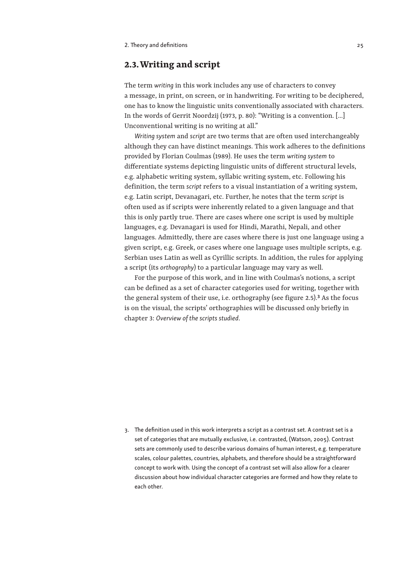#### **2.3.Writing and script**

The term *writing* in this work includes any use of characters to convey a message, in print, on screen, or in handwriting. For writing to be deciphered, one has to know the linguistic units conventionally associated with characters. In the words of Gerrit Noordzij (1973, p. 80): "Writing is a convention. […] Unconventional writing is no writing at all."

*Writing system* and *script* are two terms that are often used interchangeably although they can have distinct meanings. This work adheres to the definitions provided by Florian Coulmas (1989). He uses the term *writing system* to differentiate systems depicting linguistic units of different structural levels, e.g. alphabetic writing system, syllabic writing system, etc. Following his definition, the term *script* refers to a visual instantiation of a writing system, e.g. Latin script, Devanagari, etc. Further, he notes that the term *script* is often used as if scripts were inherently related to a given language and that this is only partly true. There are cases where one script is used by multiple languages, e.g. Devanagari is used for Hindi, Marathi, Nepali, and other languages. Admittedly, there are cases where there is just one language using a given script, e.g. Greek, or cases where one language uses multiple scripts, e.g. Serbian uses Latin as well as Cyrillic scripts. In addition, the rules for applying a script (its *orthography*) to a particular language may vary as well.

For the purpose of this work, and in line with Coulmas's notions, a script can be defined as a set of character categories used for writing, together with the general system of their use, i.e. orthography (see figure 2.5).**3** As the focus is on the visual, the scripts' orthographies will be discussed only briefly in chapter 3: *Overview of the scripts studied*.

3. The definition used in this work interprets a script as a contrast set. A contrast set is a set of categories that are mutually exclusive, i.e. contrasted, (Watson, 2005). Contrast sets are commonly used to describe various domains of human interest, e.g. temperature scales, colour palettes, countries, alphabets, and therefore should be a straightforward concept to work with. Using the concept of a contrast set will also allow for a clearer discussion about how individual character categories are formed and how they relate to each other.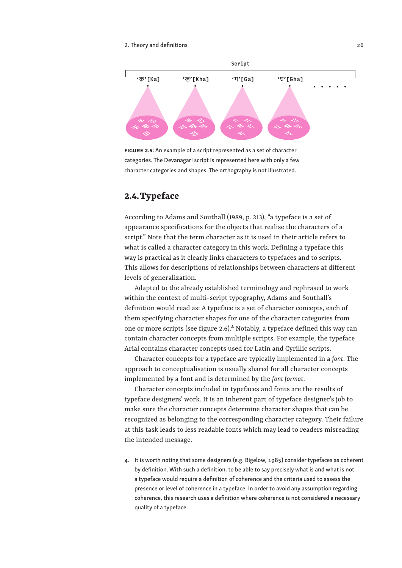#### 2. Theory and definitions and  $\sim$  26  $\sim$  26  $\sim$  26  $\sim$  26  $\sim$  26  $\sim$  26  $\sim$  26  $\sim$  26  $\sim$  26  $\sim$  26  $\sim$  26  $\sim$  26  $\sim$  26  $\sim$  26  $\sim$  26  $\sim$  26  $\sim$  26  $\sim$  26  $\sim$  26  $\sim$  26  $\sim$  26  $\sim$  26  $\sim$  26  $\sim$  27



FIGURE 2.5: An example of a script represented as a set of character categories. The Devanagari script is represented here with only a few character categories and shapes. The orthography is not illustrated.

#### **2.4.Typeface**

According to Adams and Southall (1989, p. 213), "a typeface is a set of appearance specifications for the objects that realise the characters of a script." Note that the term character as it is used in their article refers to what is called a character category in this work. Defining a typeface this way is practical as it clearly links characters to typefaces and to scripts. This allows for descriptions of relationships between characters at different levels of generalization.

Adapted to the already established terminology and rephrased to work within the context of multi-script typography, Adams and Southall's definition would read as: A typeface is a set of character concepts, each of them specifying character shapes for one of the character categories from one or more scripts (see figure 2.6).**4** Notably, a typeface defined this way can contain character concepts from multiple scripts. For example, the typeface Arial contains character concepts used for Latin and Cyrillic scripts.

Character concepts for a typeface are typically implemented in a *font*. The approach to conceptualisation is usually shared for all character concepts implemented by a font and is determined by the *font format*.

Character concepts included in typefaces and fonts are the results of typeface designers' work. It is an inherent part of typeface designer's job to make sure the character concepts determine character shapes that can be recognized as belonging to the corresponding character category. Their failure at this task leads to less readable fonts which may lead to readers misreading the intended message.

4. It is worth noting that some designers (e.g. Bigelow, 1985) consider typefaces as coherent by definition. With such a definition, to be able to say precisely what is and what is not a typeface would require a definition of coherence and the criteria used to assess the presence or level of coherence in a typeface. In order to avoid any assumption regarding coherence, this research uses a definition where coherence is not considered a necessary quality of a typeface.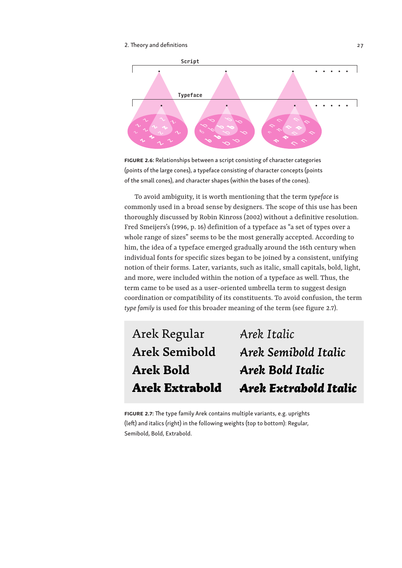#### 2. Theory and definitions and  $\frac{27}{2}$



FIGURE 2.6: Relationships between a script consisting of character categories (points of the large cones), a typeface consisting of character concepts (points of the small cones), and character shapes (within the bases of the cones).

To avoid ambiguity, it is worth mentioning that the term *typeface* is commonly used in a broad sense by designers. The scope of this use has been thoroughly discussed by Robin Kinross (2002) without a definitive resolution. Fred Smeijers's (1996, p. 16) definition of a typeface as "a set of types over a whole range of sizes" seems to be the most generally accepted. According to him, the idea of a typeface emerged gradually around the 16th century when individual fonts for specific sizes began to be joined by a consistent, unifying notion of their forms. Later, variants, such as italic, small capitals, bold, light, and more, were included within the notion of a typeface as well. Thus, the term came to be used as a user-oriented umbrella term to suggest design coordination or compatibility of its constituents. To avoid confusion, the term *type family* is used for this broader meaning of the term (see figure 2.7).

| Arek Extrabold | <b>Arek Extrabold Italic</b> |
|----------------|------------------------------|
| Arek Bold      | Arek Bold Italic             |
| Arek Semibold  | Arek Semibold Italic         |
| Arek Regular   | Arek Italic                  |
|                |                              |

FIGURE 2.7: The type family Arek contains multiple variants, e.g. uprights (left) and italics (right) in the following weights (top to bottom): Regular, Semibold, Bold, Extrabold.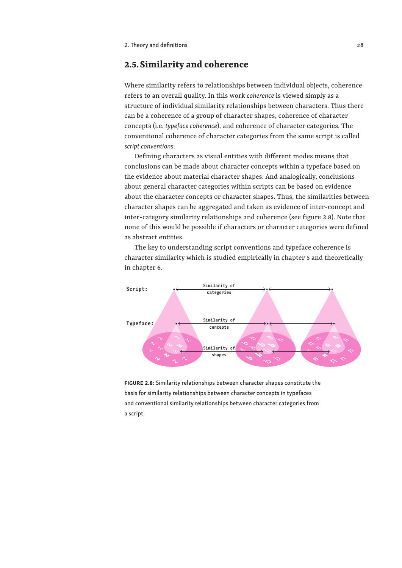#### **2.5.Similarity and coherence**

Where similarity refers to relationships between individual objects, coherence refers to an overall quality. In this work *coherence* is viewed simply as a structure of individual similarity relationships between characters. Thus there can be a coherence of a group of character shapes, coherence of character concepts (i.e. *typeface coherence*), and coherence of character categories. The conventional coherence of character categories from the same script is called *script conventions*.

Defining characters as visual entities with different modes means that conclusions can be made about character concepts within a typeface based on the evidence about material character shapes. And analogically, conclusions about general character categories within scripts can be based on evidence about the character concepts or character shapes. Thus, the similarities between character shapes can be aggregated and taken as evidence of inter-concept and inter-category similarity relationships and coherence (see figure 2.8). Note that none of this would be possible if characters or character categories were defined as abstract entities.

The key to understanding script conventions and typeface coherence is character similarity which is studied empirically in chapter 5 and theoretically in chapter 6.



FIGURE 2.8: Similarity relationships between character shapes constitute the basis for similarity relationships between character concepts in typefaces and conventional similarity relationships between character categories from a script.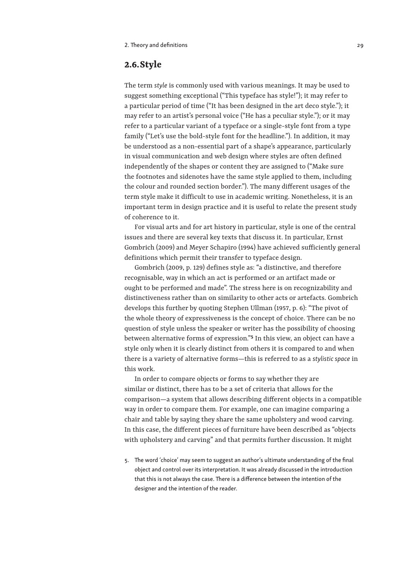#### **2.6.Style**

The term *style* is commonly used with various meanings. It may be used to suggest something exceptional ("This typeface has style!"); it may refer to a particular period of time ("It has been designed in the art deco style."); it may refer to an artist's personal voice ("He has a peculiar style."); or it may refer to a particular variant of a typeface or a single-style font from a type family ("Let's use the bold-style font for the headline."). In addition, it may be understood as a non-essential part of a shape's appearance, particularly in visual communication and web design where styles are often defined independently of the shapes or content they are assigned to ("Make sure the footnotes and sidenotes have the same style applied to them, including the colour and rounded section border."). The many different usages of the term style make it difficult to use in academic writing. Nonetheless, it is an important term in design practice and it is useful to relate the present study of coherence to it.

For visual arts and for art history in particular, style is one of the central issues and there are several key texts that discuss it. In particular, Ernst Gombrich (2009) and Meyer Schapiro (1994) have achieved sufficiently general definitions which permit their transfer to typeface design.

Gombrich (2009, p. 129) defines style as: "a distinctive, and therefore recognisable, way in which an act is performed or an artifact made or ought to be performed and made". The stress here is on recognizability and distinctiveness rather than on similarity to other acts or artefacts. Gombrich develops this further by quoting Stephen Ullman (1957, p. 6): "The pivot of the whole theory of expressiveness is the concept of choice. There can be no question of style unless the speaker or writer has the possibility of choosing between alternative forms of expression."**5** In this view, an object can have a style only when it is clearly distinct from others it is compared to and when there is a variety of alternative forms—this is referred to as a *stylistic space* in this work.

In order to compare objects or forms to say whether they are similar or distinct, there has to be a set of criteria that allows for the comparison—a system that allows describing different objects in a compatible way in order to compare them. For example, one can imagine comparing a chair and table by saying they share the same upholstery and wood carving. In this case, the different pieces of furniture have been described as "objects with upholstery and carving" and that permits further discussion. It might

5. The word 'choice' may seem to suggest an author's ultimate understanding of the final object and control over its interpretation. It was already discussed in the introduction that this is not always the case. There is a difference between the intention of the designer and the intention of the reader.